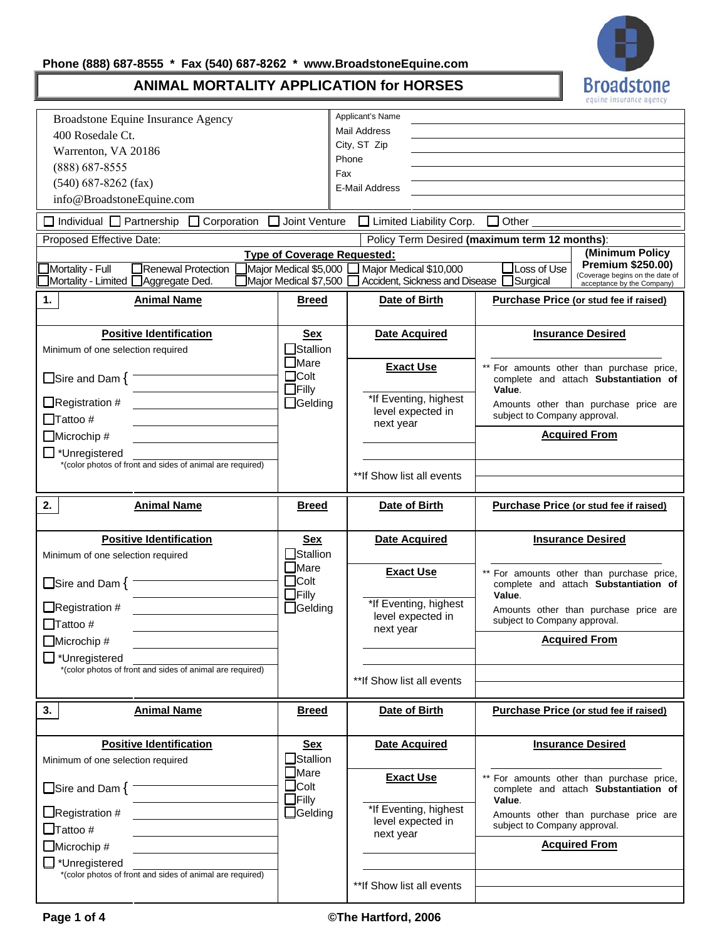# **Phone (888) 687-8555 \* Fax (540) 687-8262 \* www.BroadstoneEquine.com**



# **ANIMAL MORTALITY APPLICATION for HORSES**

| Broadstone Equine Insurance Agency                                                |                                                | Applicant's Name                                         |                                                                                                               |  |  |  |  |  |
|-----------------------------------------------------------------------------------|------------------------------------------------|----------------------------------------------------------|---------------------------------------------------------------------------------------------------------------|--|--|--|--|--|
| 400 Rosedale Ct.                                                                  |                                                | Mail Address                                             |                                                                                                               |  |  |  |  |  |
| Warrenton, VA 20186                                                               |                                                | City, ST Zip                                             |                                                                                                               |  |  |  |  |  |
| (888) 687-8555                                                                    |                                                | Phone<br>Fax                                             |                                                                                                               |  |  |  |  |  |
| $(540)$ 687-8262 (fax)                                                            |                                                | E-Mail Address                                           |                                                                                                               |  |  |  |  |  |
| info@BroadstoneEquine.com                                                         |                                                |                                                          |                                                                                                               |  |  |  |  |  |
| $\Box$ Individual $\Box$ Partnership $\Box$ Corporation $\Box$                    | Joint Venture                                  | $\Box$ Limited Liability Corp. $\Box$ Other $\Box$       |                                                                                                               |  |  |  |  |  |
| Proposed Effective Date:                                                          |                                                |                                                          | Policy Term Desired (maximum term 12 months):                                                                 |  |  |  |  |  |
|                                                                                   | <b>Type of Coverage Requested:</b>             |                                                          | (Minimum Policy                                                                                               |  |  |  |  |  |
| Mortality - Full<br>Renewal Protection<br>Mortality - Limited [<br>Aggregate Ded. | Major Medical \$5,000<br>Major Medical \$7,500 | Major Medical \$10,000<br>Accident, Sickness and Disease | Premium \$250.00)<br>Loss of Use<br>(Coverage begins on the date of<br>Surgical<br>acceptance by the Company) |  |  |  |  |  |
| <b>Animal Name</b><br>1.                                                          | <b>Breed</b>                                   | Date of Birth                                            | Purchase Price (or stud fee if raised)                                                                        |  |  |  |  |  |
| <b>Positive Identification</b>                                                    | Sex                                            | <b>Date Acquired</b>                                     | <b>Insurance Desired</b>                                                                                      |  |  |  |  |  |
| Minimum of one selection required                                                 | <b>Stallion</b>                                |                                                          |                                                                                                               |  |  |  |  |  |
| $\Box$ Sire and Dam { $\overline{\phantom{a}}$                                    | Mare<br>$\Box$ Colt<br>$\Box$ Filly            | <b>Exact Use</b>                                         | ** For amounts other than purchase price,<br>complete and attach Substantiation of                            |  |  |  |  |  |
| $\Box$ Registration #<br>$\Box$ Tattoo #                                          | $\Box$ Gelding                                 | *If Eventing, highest<br>level expected in               | Value.<br>Amounts other than purchase price are<br>subject to Company approval.                               |  |  |  |  |  |
| $\Box$ Microchip #                                                                |                                                | next year                                                | <b>Acquired From</b>                                                                                          |  |  |  |  |  |
| $\Box$ *Unregistered                                                              |                                                |                                                          |                                                                                                               |  |  |  |  |  |
| *(color photos of front and sides of animal are required)                         |                                                |                                                          |                                                                                                               |  |  |  |  |  |
|                                                                                   |                                                | ** If Show list all events                               |                                                                                                               |  |  |  |  |  |
| 2.<br><b>Animal Name</b>                                                          | <b>Breed</b>                                   | Date of Birth                                            | Purchase Price (or stud fee if raised)                                                                        |  |  |  |  |  |
| <b>Positive Identification</b>                                                    | <b>Sex</b><br>$\Box$ Stallion                  | <b>Date Acquired</b>                                     | <b>Insurance Desired</b>                                                                                      |  |  |  |  |  |
| Minimum of one selection required                                                 | $\Box$ Mare                                    |                                                          |                                                                                                               |  |  |  |  |  |
| $\Box$ Sire and Dam $\{$                                                          | $\Box$ Colt<br>$\Box$ Filly                    | <b>Exact Use</b>                                         | For amounts other than purchase price,<br>complete and attach Substantiation of<br>Value.                     |  |  |  |  |  |
| $\Box$ Registration #                                                             | $\Box$ Gelding                                 | *If Eventing, highest<br>level expected in               | Amounts other than purchase price are                                                                         |  |  |  |  |  |
| $\Box$ Tattoo #                                                                   |                                                | next year                                                | subject to Company approval.                                                                                  |  |  |  |  |  |
| $\Box$ Microchip #                                                                |                                                |                                                          | <b>Acquired From</b>                                                                                          |  |  |  |  |  |
| ∐ *Unregistered<br>*(color photos of front and sides of animal are required)      |                                                |                                                          |                                                                                                               |  |  |  |  |  |
|                                                                                   |                                                | **If Show list all events                                |                                                                                                               |  |  |  |  |  |
| <b>Animal Name</b><br>3.                                                          | <b>Breed</b>                                   | Date of Birth                                            | Purchase Price (or stud fee if raised)                                                                        |  |  |  |  |  |
| <b>Positive Identification</b>                                                    | <b>Sex</b>                                     | <b>Date Acquired</b>                                     | <b>Insurance Desired</b>                                                                                      |  |  |  |  |  |
| Minimum of one selection required                                                 | Stallion                                       |                                                          |                                                                                                               |  |  |  |  |  |
| $\Box$ Sire and Dam $\{$                                                          | $\Box$ Mare<br>$\Box$ Colt<br>$\Box$ Filly     | <b>Exact Use</b>                                         | For amounts other than purchase price,<br>complete and attach Substantiation of<br>Value.                     |  |  |  |  |  |
| $\Box$ Registration #<br>$\Box$ Tattoo #                                          | $\Box$ Gelding                                 | *If Eventing, highest<br>level expected in               | Amounts other than purchase price are<br>subject to Company approval.                                         |  |  |  |  |  |
| $\Box$ Microchip #                                                                |                                                | next year                                                | <b>Acquired From</b>                                                                                          |  |  |  |  |  |
| $\mathbf{\perp}^*$ Unregistered                                                   |                                                |                                                          |                                                                                                               |  |  |  |  |  |
| *(color photos of front and sides of animal are required)                         |                                                |                                                          |                                                                                                               |  |  |  |  |  |
|                                                                                   |                                                | ** If Show list all events                               |                                                                                                               |  |  |  |  |  |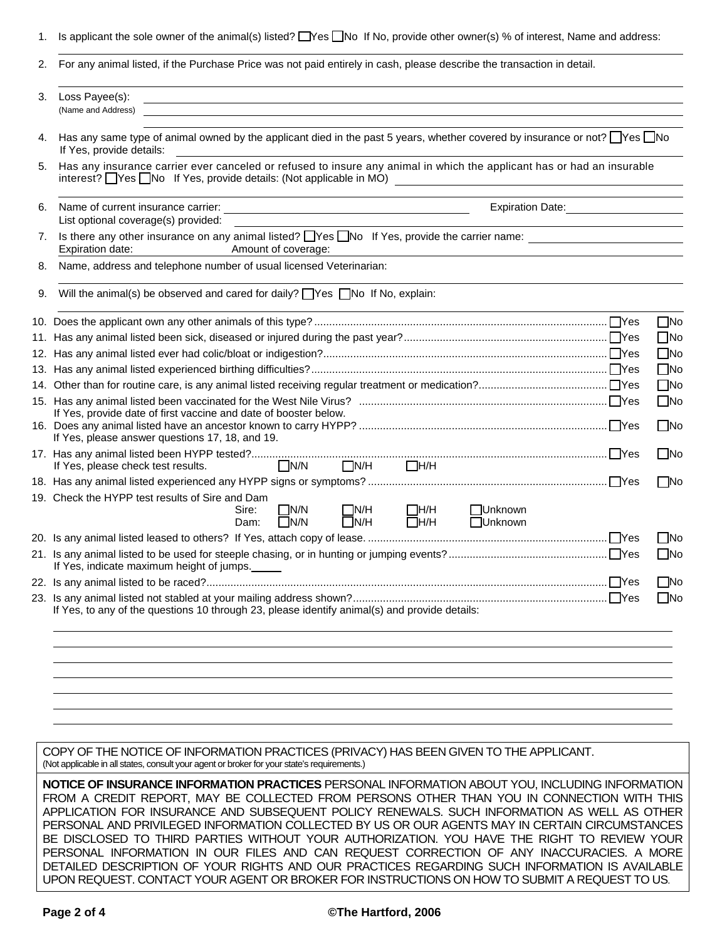| 1.  | Is applicant the sole owner of the animal(s) listed? Nes No If No, provide other owner(s) % of interest, Name and address:                                                                                                                         |                              |
|-----|----------------------------------------------------------------------------------------------------------------------------------------------------------------------------------------------------------------------------------------------------|------------------------------|
| 2.  | For any animal listed, if the Purchase Price was not paid entirely in cash, please describe the transaction in detail.                                                                                                                             |                              |
| 3.  | Loss Payee(s):<br>(Name and Address)                                                                                                                                                                                                               |                              |
| 4.  | Has any same type of animal owned by the applicant died in the past 5 years, whether covered by insurance or not? TYes INo<br>If Yes, provide details:                                                                                             |                              |
| 5.  | Has any insurance carrier ever canceled or refused to insure any animal in which the applicant has or had an insurable<br>interest? UYes UNo If Yes, provide details: (Not applicable in MO) UNION MODING THE PROPERTY PROPERTY PROPERTY           |                              |
| 6.  | Name of current insurance carrier:<br>Expiration Date: <u>_____________________</u><br><u> 1989 - Johann Stein, marwolaethau a bhann an t-Amhain an t-Amhain an t-Amhain an t-Amhain an t-Amhain an t-A</u><br>List optional coverage(s) provided: |                              |
| 7.  | Is there any other insurance on any animal listed? Ness INo If Yes, provide the carrier name: 1990 16 1991 1991<br>Amount of coverage:<br>Expiration date:                                                                                         |                              |
| 8.  | Name, address and telephone number of usual licensed Veterinarian:                                                                                                                                                                                 |                              |
| 9.  | Will the animal(s) be observed and cared for daily? $\Box$ Yes $\Box$ No If No, explain:                                                                                                                                                           |                              |
|     |                                                                                                                                                                                                                                                    | $\square$ No<br>$\square$ No |
|     |                                                                                                                                                                                                                                                    | $\square$ No                 |
|     |                                                                                                                                                                                                                                                    | $\square$ No                 |
| 13. |                                                                                                                                                                                                                                                    | $\square$ No                 |
|     |                                                                                                                                                                                                                                                    | $\square$ No                 |
|     | If Yes, provide date of first vaccine and date of booster below.                                                                                                                                                                                   | $\Box$ No                    |
|     | If Yes, please answer questions 17, 18, and 19.                                                                                                                                                                                                    | $\Box$ No                    |
|     | $\Box$ N/H $\Box$ H/H<br>$\Box$ N/N<br>If Yes, please check test results.                                                                                                                                                                          |                              |
|     |                                                                                                                                                                                                                                                    | $\square$ No                 |
|     | 19. Check the HYPP test results of Sire and Dam<br>$\Box$ N/N<br>N/H<br>$\Box$ H/H<br>□Unknown<br>Sire:<br>$\Box$ N/H<br>$\Box$ H/H<br><b>Unknown</b><br>$\Box$ N/N<br>Dam:                                                                        |                              |
|     |                                                                                                                                                                                                                                                    | $\Box$ No                    |
|     | If Yes, indicate maximum height of jumps.                                                                                                                                                                                                          | $\square$ No                 |
|     |                                                                                                                                                                                                                                                    | $\Box$ No                    |
|     | If Yes, to any of the questions 10 through 23, please identify animal(s) and provide details:                                                                                                                                                      | $\square$ No                 |
|     |                                                                                                                                                                                                                                                    |                              |
|     |                                                                                                                                                                                                                                                    |                              |

COPY OF THE NOTICE OF INFORMATION PRACTICES (PRIVACY) HAS BEEN GIVEN TO THE APPLICANT. (Not applicable in all states, consult your agent or broker for your state's requirements.)

**NOTICE OF INSURANCE INFORMATION PRACTICES** PERSONAL INFORMATION ABOUT YOU, INCLUDING INFORMATION FROM A CREDIT REPORT, MAY BE COLLECTED FROM PERSONS OTHER THAN YOU IN CONNECTION WITH THIS APPLICATION FOR INSURANCE AND SUBSEQUENT POLICY RENEWALS. SUCH INFORMATION AS WELL AS OTHER PERSONAL AND PRIVILEGED INFORMATION COLLECTED BY US OR OUR AGENTS MAY IN CERTAIN CIRCUMSTANCES BE DISCLOSED TO THIRD PARTIES WITHOUT YOUR AUTHORIZATION. YOU HAVE THE RIGHT TO REVIEW YOUR PERSONAL INFORMATION IN OUR FILES AND CAN REQUEST CORRECTION OF ANY INACCURACIES. A MORE DETAILED DESCRIPTION OF YOUR RIGHTS AND OUR PRACTICES REGARDING SUCH INFORMATION IS AVAILABLE UPON REQUEST. CONTACT YOUR AGENT OR BROKER FOR INSTRUCTIONS ON HOW TO SUBMIT A REQUEST TO US.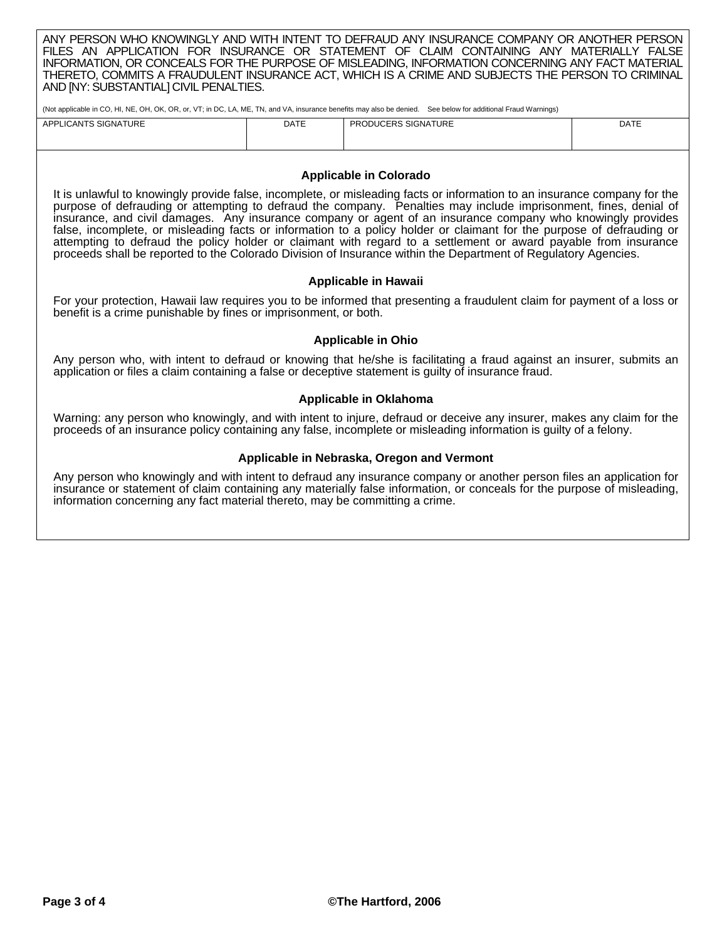|  |                                        |  |  |  |  | ANY PERSON WHO KNOWINGLY AND WITH INTENT TO DEFRAUD ANY INSURANCE COMPANY OR ANOTHER PERSON.      |  |  |  |  |
|--|----------------------------------------|--|--|--|--|---------------------------------------------------------------------------------------------------|--|--|--|--|
|  |                                        |  |  |  |  | FILES AN APPLICATION FOR INSURANCE OR STATEMENT OF CLAIM CONTAINING ANY MATERIALLY FALSE          |  |  |  |  |
|  |                                        |  |  |  |  | INFORMATION, OR CONCEALS FOR THE PURPOSE OF MISLEADING, INFORMATION CONCERNING ANY FACT MATERIAL  |  |  |  |  |
|  |                                        |  |  |  |  | THERETO. COMMITS A FRAUDULENT INSURANCE ACT. WHICH IS A CRIME AND SUBJECTS THE PERSON TO CRIMINAL |  |  |  |  |
|  | AND [NY: SUBSTANTIAL] CIVIL PENALTIES. |  |  |  |  |                                                                                                   |  |  |  |  |
|  |                                        |  |  |  |  |                                                                                                   |  |  |  |  |

(Not applicable in CO, HI, NE, OH, OK, OR, or, VT; in DC, LA, ME, TN, and VA, insurance benefits may also be denied. See below for additional Fraud Warnings)

| APPLICANTS SIGNATURE | <b>DATE</b> | <b>PRODUCERS SIGNATURE</b> | <b>DATE</b> |
|----------------------|-------------|----------------------------|-------------|
|                      |             |                            |             |
|                      |             |                            |             |

### **Applicable in Colorado**

It is unlawful to knowingly provide false, incomplete, or misleading facts or information to an insurance company for the purpose of defrauding or attempting to defraud the company. Penalties may include imprisonment, fines, denial of insurance, and civil damages. Any insurance company or agent of an insurance company who knowingly provides false, incomplete, or misleading facts or information to a policy holder or claimant for the purpose of defrauding or attempting to defraud the policy holder or claimant with regard to a settlement or award payable from insurance proceeds shall be reported to the Colorado Division of Insurance within the Department of Regulatory Agencies.

#### **Applicable in Hawaii**

For your protection, Hawaii law requires you to be informed that presenting a fraudulent claim for payment of a loss or benefit is a crime punishable by fines or imprisonment, or both.

## **Applicable in Ohio**

Any person who, with intent to defraud or knowing that he/she is facilitating a fraud against an insurer, submits an application or files a claim containing a false or deceptive statement is guilty of insurance fraud.

## **Applicable in Oklahoma**

Warning: any person who knowingly, and with intent to injure, defraud or deceive any insurer, makes any claim for the proceeds of an insurance policy containing any false, incomplete or misleading information is guilty of a felony.

#### **Applicable in Nebraska, Oregon and Vermont**

Any person who knowingly and with intent to defraud any insurance company or another person files an application for insurance or statement of claim containing any materially false information, or conceals for the purpose of misleading, information concerning any fact material thereto, may be committing a crime.